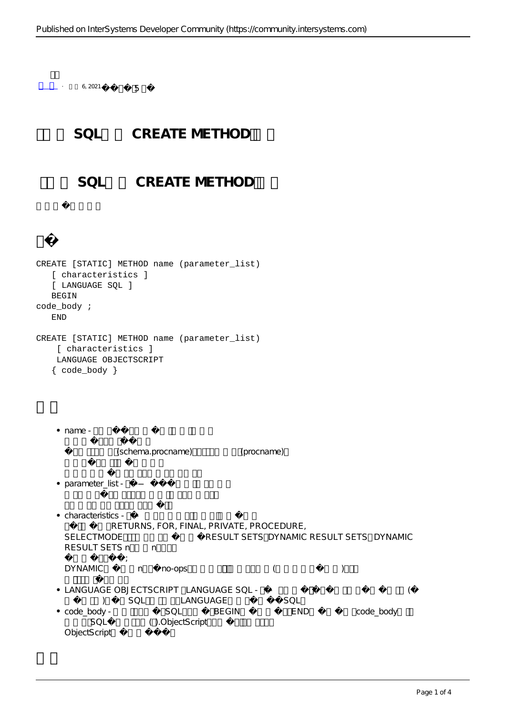$-$  6, 2021 5

SOL CREATE METHOD SQL CREATE METHOD CREATE [STATIC] METHOD name (parameter\_list) [ characteristics ] [ LANGUAGE SQL ] BEGIN code\_body ; END CREATE [STATIC] METHOD name (parameter\_list) [ characteristics ] LANGUAGE OBJECTSCRIPT { code\_body } • name -(schema.procname) (procname) • parameter list - — • characteristics -RETURNS, FOR, FINAL, PRIVATE, PROCEDURE, SELECTMODE RESULT SETS DYNAMIC RESULT SETS DYNAMIC RESULT SETS n,  $\frac{1}{\sqrt{2}}$ DYNAMIC n no-ops ( ) ● LANGUAGE OBJECTSCRIPT LANGUAGE SQL - – ) SQL LANGUAGE SQL • code\_body - SQL BEGIN END code\_body SQL ().ObjectScript ObjectScript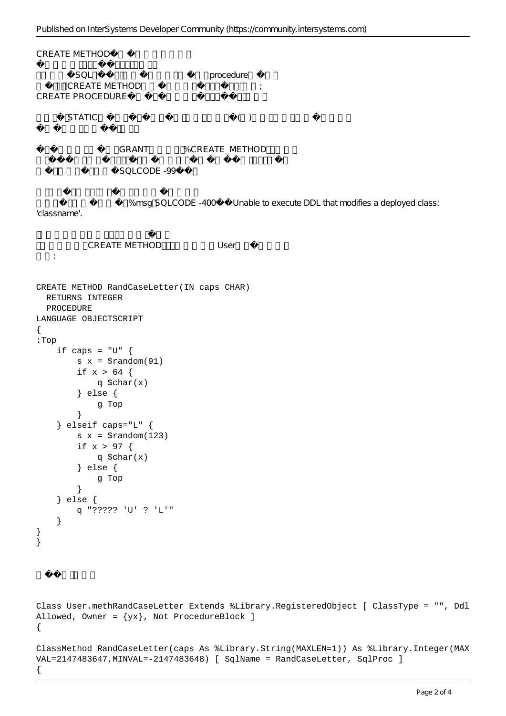CREATE METHOD SQL procedure CREATE METHOD CREATE PROCEDURE  $STATIC$  ( ) GRANT % CREATE\_METHOD SQLCODE -99 % msg SQLCODE -400 Unable to execute DDL that modifies a deployed class: 'classname'. CREATE METHOD, User 字母: CREATE METHOD RandCaseLetter(IN caps CHAR) RETURNS INTEGER PROCEDURE LANGUAGE OBJECTSCRIPT { :Top if caps =  $"U"$  {  $s \times = \frac{2}{3}$  random(91) if  $x > 64$  { q \$char(x) } else { g Top } } elseif caps="L" {  $s \times = \frac{2}{3}$  random(123) if x > 97 {  $q$   $$char(x)$  } else { g Top } } else { q "????? 'U' ? 'L'" } } } Class User.methRandCaseLetter Extends %Library.RegisteredObject [ ClassType = "", Ddl Allowed, Owner =  $\{yx\}$ , Not ProcedureBlock ] {

```
ClassMethod RandCaseLetter(caps As %Library.String(MAXLEN=1)) As %Library.Integer(MAX
VAL=2147483647,MINVAL=-2147483648) [ SqlName = RandCaseLetter, SqlProc ]
{
```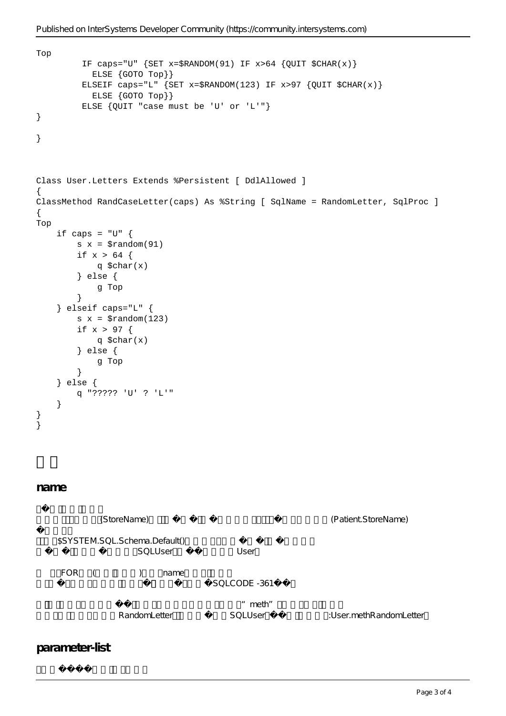```
Top
         IF caps="U" {SET x = $RANDOM(91) IF x > 64 } {OUT $CHAR(x)} ELSE {GOTO Top}}
         ELSEIF caps="L" {SET x = $RANDOM(123) IF x > 97 } {QUIT $CHAR(x)} ELSE {GOTO Top}}
          ELSE {QUIT "case must be 'U' or 'L'"}
}
}
Class User.Letters Extends %Persistent [ DdlAllowed ] 
{
ClassMethod RandCaseLetter(caps) As %String [ SqlName = RandomLetter, SqlProc ]
{ 
Top
    if caps = "U" {
        s \times = \frac{2}{3} random(91)
        if x > 64 {
             q $char(x)
         } else {
              g Top
          }
     } elseif caps="L" { 
        s \times = \frac{2}{3} random(123)
         if x > 97 {
            q $char(x) } else {
              g Top
         }
     } else {
         q "????? 'U' ? 'L'"
     }
}
}
name
             (StoreName) (StoreName) example and the Contract of Patient.StoreName)
    $SYSTEM.SQL.Schema.Default()
                     SQLUser, User
     FOR ( ) name
```
SQLCODE -361

|              | "meth"  |                         |
|--------------|---------|-------------------------|
| Randomletter | SOLUser | :User.methRandomLetter: |

**parameter-list**